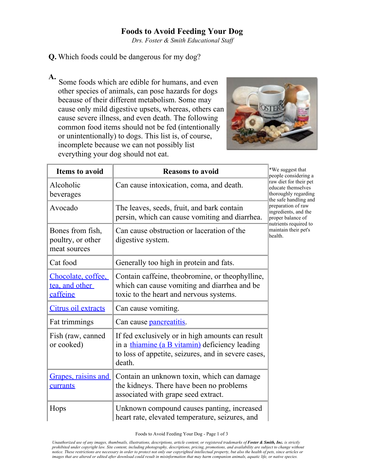## **Foods to Avoid Feeding Your Dog**

*Drs. Foster & Smith Educational Staff* 

## **Q.** Which foods could be dangerous for my dog?

**A.** Some foods which are edible for humans, and even other species of animals, can pose hazards for dogs because of their different metabolism. Some may cause only mild digestive upsets, whereas, others can cause severe illness, and even death. The following common food items should not be fed (intentionally or unintentionally) to dogs. This list is, of course, incomplete because we can not possibly list everything your dog should not eat.



| <b>Items to avoid</b>                                 | <b>Reasons to avoid</b>                                                                                                                                             | *We suggest that<br>people considering a<br>raw diet for their pet<br>educate themselves<br>thoroughly regarding<br>the safe handling and<br>preparation of raw<br>ingredients, and the<br>proper balance of<br>nutrients required to<br>maintain their pet's<br>health. |
|-------------------------------------------------------|---------------------------------------------------------------------------------------------------------------------------------------------------------------------|--------------------------------------------------------------------------------------------------------------------------------------------------------------------------------------------------------------------------------------------------------------------------|
| Alcoholic<br>beverages                                | Can cause intoxication, coma, and death.                                                                                                                            |                                                                                                                                                                                                                                                                          |
| Avocado                                               | The leaves, seeds, fruit, and bark contain<br>persin, which can cause vomiting and diarrhea.                                                                        |                                                                                                                                                                                                                                                                          |
| Bones from fish,<br>poultry, or other<br>meat sources | Can cause obstruction or laceration of the<br>digestive system.                                                                                                     |                                                                                                                                                                                                                                                                          |
| Cat food                                              | Generally too high in protein and fats.                                                                                                                             |                                                                                                                                                                                                                                                                          |
| Chocolate, coffee.<br>tea, and other<br>caffeine      | Contain caffeine, theobromine, or theophylline,<br>which can cause vomiting and diarrhea and be<br>toxic to the heart and nervous systems.                          |                                                                                                                                                                                                                                                                          |
| Citrus oil extracts                                   | Can cause vomiting.                                                                                                                                                 |                                                                                                                                                                                                                                                                          |
| Fat trimmings                                         | Can cause <b>pancreatitis</b> .                                                                                                                                     |                                                                                                                                                                                                                                                                          |
| Fish (raw, canned<br>or cooked)                       | If fed exclusively or in high amounts can result<br>in a thiamine (a B vitamin) deficiency leading<br>to loss of appetite, seizures, and in severe cases,<br>death. |                                                                                                                                                                                                                                                                          |
| Grapes, raisins and<br>currants                       | Contain an unknown toxin, which can damage<br>the kidneys. There have been no problems<br>associated with grape seed extract.                                       |                                                                                                                                                                                                                                                                          |
| Hops                                                  | Unknown compound causes panting, increased<br>heart rate, elevated temperature, seizures, and                                                                       |                                                                                                                                                                                                                                                                          |

Foods to Avoid Feeding Your Dog - Page 1 of 3

*Unauthorized use of any images, thumbnails, illustrations, descriptions, article content, or registered trademarks of Foster & Smith, Inc. is strictly prohibited under copyright law. Site content, including photography, descriptions, pricing, promotions, and availability are subject to change without notice. These restrictions are necessary in order to protect not only our copyrighted intellectual property, but also the health of pets, since articles or images that are altered or edited after download could result in misinformation that may harm companion animals, aquatic life, or native species.*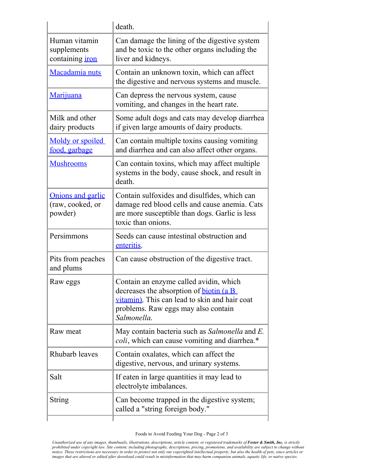|                                                        | death.                                                                                                                                                                                   |
|--------------------------------------------------------|------------------------------------------------------------------------------------------------------------------------------------------------------------------------------------------|
| Human vitamin<br>supplements<br>containing <i>iron</i> | Can damage the lining of the digestive system<br>and be toxic to the other organs including the<br>liver and kidneys.                                                                    |
| Macadamia nuts                                         | Contain an unknown toxin, which can affect<br>the digestive and nervous systems and muscle.                                                                                              |
| Marijuana                                              | Can depress the nervous system, cause<br>vomiting, and changes in the heart rate.                                                                                                        |
| Milk and other<br>dairy products                       | Some adult dogs and cats may develop diarrhea<br>if given large amounts of dairy products.                                                                                               |
| Moldy or spoiled<br>food, garbage                      | Can contain multiple toxins causing vomiting<br>and diarrhea and can also affect other organs.                                                                                           |
| <b>Mushrooms</b>                                       | Can contain toxins, which may affect multiple<br>systems in the body, cause shock, and result in<br>death.                                                                               |
| Onions and garlic<br>(raw, cooked, or<br>powder)       | Contain sulfoxides and disulfides, which can<br>damage red blood cells and cause anemia. Cats<br>are more susceptible than dogs. Garlic is less<br>toxic than onions.                    |
| Persimmons                                             | Seeds can cause intestinal obstruction and<br>enteritis.                                                                                                                                 |
| Pits from peaches<br>and plums                         | Can cause obstruction of the digestive tract.                                                                                                                                            |
| Raw eggs                                               | Contain an enzyme called avidin, which<br>decreases the absorption of biotin (a B<br>vitamin). This can lead to skin and hair coat<br>problems. Raw eggs may also contain<br>Salmonella. |
| Raw meat                                               | May contain bacteria such as Salmonella and E.<br><i>coli</i> , which can cause vomiting and diarrhea.*                                                                                  |
| Rhubarb leaves                                         | Contain oxalates, which can affect the<br>digestive, nervous, and urinary systems.                                                                                                       |
| Salt                                                   | If eaten in large quantities it may lead to<br>electrolyte imbalances.                                                                                                                   |
| <b>String</b>                                          | Can become trapped in the digestive system;<br>called a "string foreign body."                                                                                                           |
|                                                        |                                                                                                                                                                                          |

Foods to Avoid Feeding Your Dog - Page 2 of 3